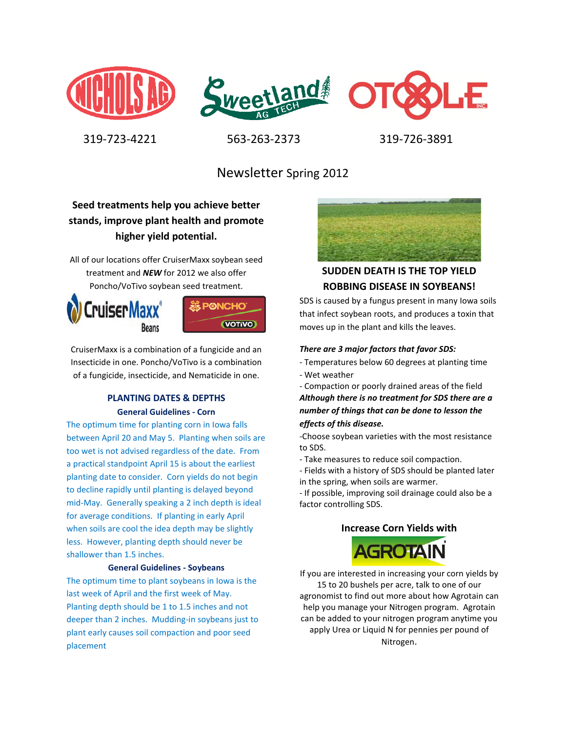





319-723-4221 563-263-2373 319-726-3891

# Newsletter Spring 2012

## **Seed treatments help you achieve better stands, improve plant health and promote higher yield potential.**

All of our locations offer CruiserMaxx soybean seed treatment and *NEW* for 2012 we also offer Poncho/VoTivo soybean seed treatment.





CruiserMaxx is a combination of a fungicide and an Insecticide in one. Poncho/VoTivo is a combination of a fungicide, insecticide, and Nematicide in one.

# **PLANTING DATES & DEPTHS**

**General Guidelines - Corn**

The optimum time for planting corn in Iowa falls between April 20 and May 5. Planting when soils are too wet is not advised regardless of the date. From a practical standpoint April 15 is about the earliest planting date to consider. Corn yields do not begin to decline rapidly until planting is delayed beyond mid-May. Generally speaking a 2 inch depth is ideal for average conditions. If planting in early April when soils are cool the idea depth may be slightly less. However, planting depth should never be shallower than 1.5 inches.

### **General Guidelines - Soybeans**

The optimum time to plant soybeans in Iowa is the last week of April and the first week of May. Planting depth should be 1 to 1.5 inches and not deeper than 2 inches. Mudding-in soybeans just to plant early causes soil compaction and poor seed placement



# **SUDDEN DEATH IS THE TOP YIELD ROBBING DISEASE IN SOYBEANS!**

SDS is caused by a fungus present in many Iowa soils that infect soybean roots, and produces a toxin that moves up in the plant and kills the leaves.

#### *There are 3 major factors that favor SDS:*

- Temperatures below 60 degrees at planting time
- Wet weather

- Compaction or poorly drained areas of the field *Although there is no treatment for SDS there are a number of things that can be done to lesson the effects of this disease.*

-Choose soybean varieties with the most resistance to SDS.

- Take measures to reduce soil compaction.
- Fields with a history of SDS should be planted later in the spring, when soils are warmer.

- If possible, improving soil drainage could also be a factor controlling SDS.

### **Increase Corn Yields with**



If you are interested in increasing your corn yields by 15 to 20 bushels per acre, talk to one of our agronomist to find out more about how Agrotain can help you manage your Nitrogen program. Agrotain can be added to your nitrogen program anytime you apply Urea or Liquid N for pennies per pound of Nitrogen.